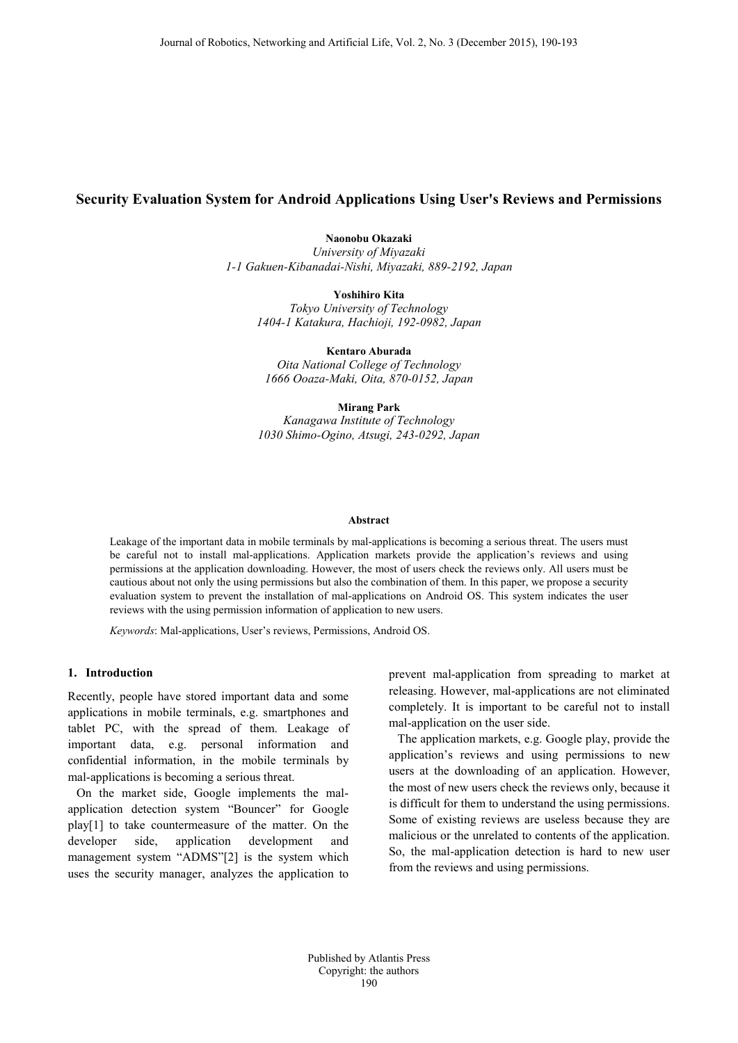# **Security Evaluation System for Android Applications Using User's Reviews and Permissions**

**Naonobu Okazaki** *University of Miyazaki 1-1 Gakuen-Kibanadai-Nishi, Miyazaki, 889-2192, Japan*

**Yoshihiro Kita** *Tokyo University of Technology 1404-1 Katakura, Hachioji, 192-0982, Japan*

**Kentaro Aburada** *Oita National College of Technology 1666 Ooaza-Maki, Oita, 870-0152, Japan*

**Mirang Park** *Kanagawa Institute of Technology 1030 Shimo-Ogino, Atsugi, 243-0292, Japan*

#### **Abstract**

Leakage of the important data in mobile terminals by mal-applications is becoming a serious threat. The users must be careful not to install mal-applications. Application markets provide the application's reviews and using permissions at the application downloading. However, the most of users check the reviews only. All users must be cautious about not only the using permissions but also the combination of them. In this paper, we propose a security evaluation system to prevent the installation of mal-applications on Android OS. This system indicates the user reviews with the using permission information of application to new users.

*Keywords*: Mal-applications, User's reviews, Permissions, Android OS.

## **1. Introduction**

Recently, people have stored important data and some applications in mobile terminals, e.g. smartphones and tablet PC, with the spread of them. Leakage of important data, e.g. personal information and confidential information, in the mobile terminals by mal-applications is becoming a serious threat.

On the market side, Google implements the malapplication detection system "Bouncer" for Google play[1] to take countermeasure of the matter. On the developer side, application development and management system "ADMS"[2] is the system which uses the security manager, analyzes the application to

prevent mal-application from spreading to market at releasing. However, mal-applications are not eliminated completely. It is important to be careful not to install mal-application on the user side.

The application markets, e.g. Google play, provide the application's reviews and using permissions to new users at the downloading of an application. However, the most of new users check the reviews only, because it is difficult for them to understand the using permissions. Some of existing reviews are useless because they are malicious or the unrelated to contents of the application. So, the mal-application detection is hard to new user from the reviews and using permissions.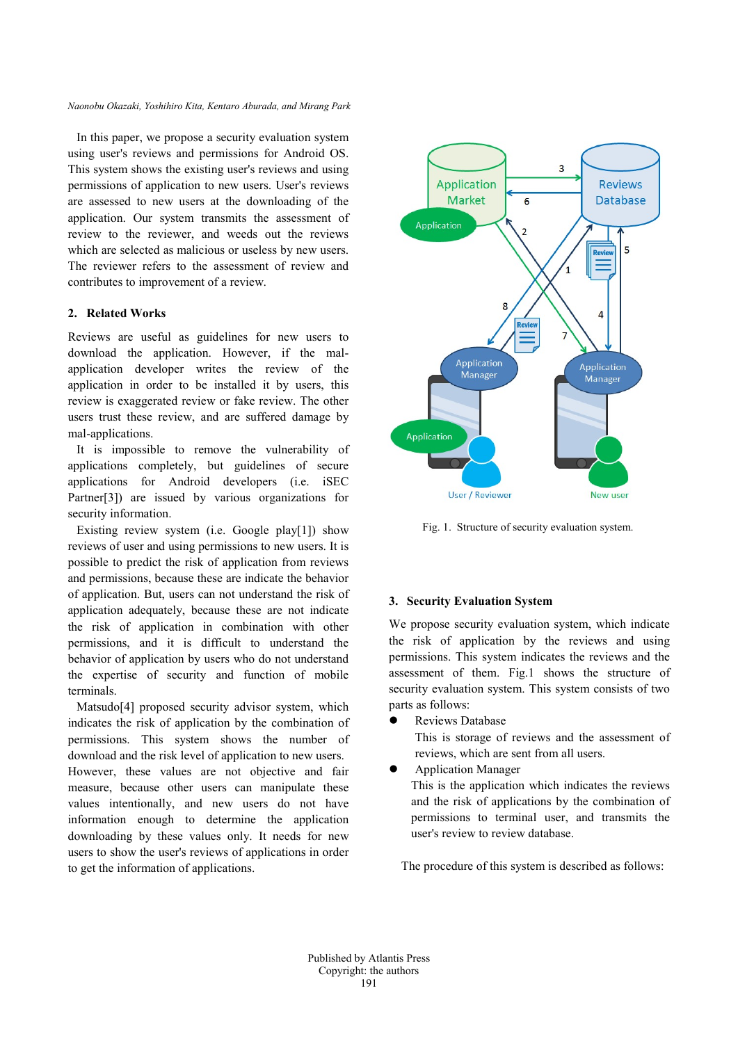#### *Naonobu Okazaki, Yoshihiro Kita, Kentaro Aburada, and Mirang Park*

In this paper, we propose a security evaluation system using user's reviews and permissions for Android OS. This system shows the existing user's reviews and using permissions of application to new users. User's reviews are assessed to new users at the downloading of the application. Our system transmits the assessment of review to the reviewer, and weeds out the reviews which are selected as malicious or useless by new users. The reviewer refers to the assessment of review and contributes to improvement of a review.

#### **2. Related Works**

Reviews are useful as guidelines for new users to download the application. However, if the malapplication developer writes the review of the application in order to be installed it by users, this review is exaggerated review or fake review. The other users trust these review, and are suffered damage by mal-applications.

It is impossible to remove the vulnerability of applications completely, but guidelines of secure applications for Android developers (i.e. iSEC Partner[3]) are issued by various organizations for security information.

Existing review system (i.e. Google play[1]) show reviews of user and using permissions to new users. It is possible to predict the risk of application from reviews and permissions, because these are indicate the behavior of application. But, users can not understand the risk of application adequately, because these are not indicate the risk of application in combination with other permissions, and it is difficult to understand the behavior of application by users who do not understand the expertise of security and function of mobile terminals.

Matsudo<sup>[4]</sup> proposed security advisor system, which indicates the risk of application by the combination of permissions. This system shows the number of download and the risk level of application to new users. However, these values are not objective and fair measure, because other users can manipulate these values intentionally, and new users do not have information enough to determine the application downloading by these values only. It needs for new users to show the user's reviews of applications in order to get the information of applications.



Fig. 1. Structure of security evaluation system.

### **3. Security Evaluation System**

We propose security evaluation system, which indicate the risk of application by the reviews and using permissions. This system indicates the reviews and the assessment of them. Fig.1 shows the structure of security evaluation system. This system consists of two parts as follows:

Reviews Database

This is storage of reviews and the assessment of reviews, which are sent from all users.

Application Manager

This is the application which indicates the reviews and the risk of applications by the combination of permissions to terminal user, and transmits the user's review to review database.

The procedure of this system is described as follows: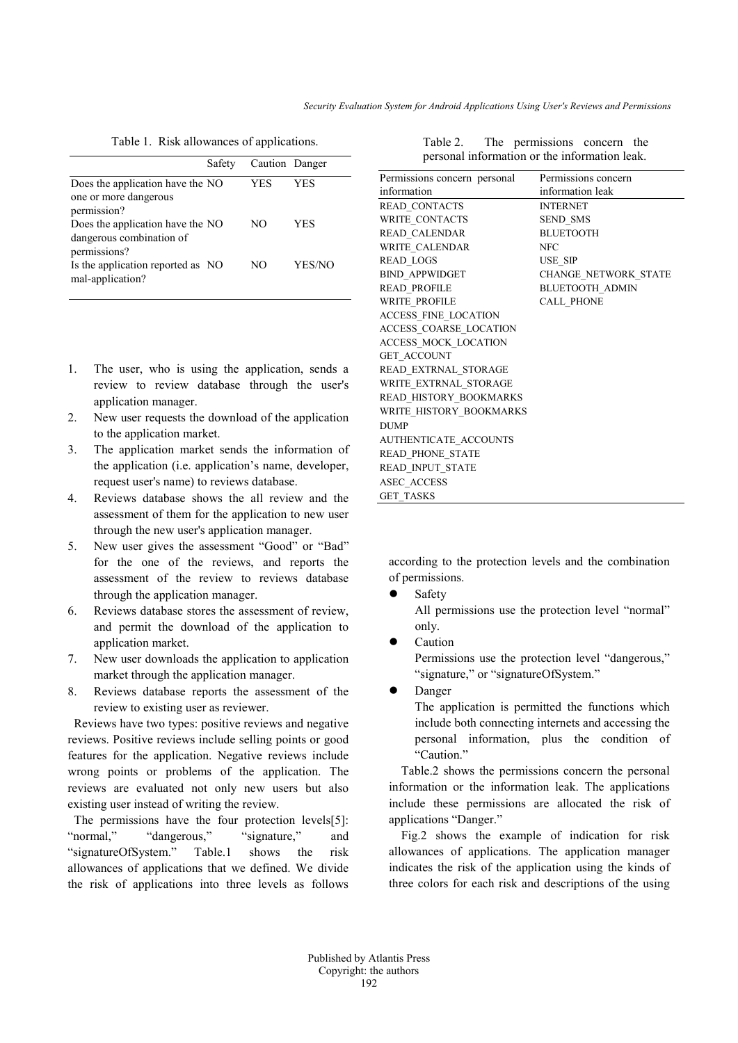|                                                                          | Safety | Caution Danger |        |
|--------------------------------------------------------------------------|--------|----------------|--------|
| Does the application have the NO<br>one or more dangerous<br>permission? |        | YES            | YES    |
| Does the application have the NO<br>dangerous combination of             |        | NΟ             | YES    |
| permissions?<br>Is the application reported as NO<br>mal-application?    |        | NΩ             | YES/NO |

- 1. The user, who is using the application, sends a review to review database through the user's application manager.
- 2. New user requests the download of the application to the application market.
- 3. The application market sends the information of the application (i.e. application's name, developer, request user's name) to reviews database.
- 4. Reviews database shows the all review and the assessment of them for the application to new user through the new user's application manager.
- 5. New user gives the assessment "Good" or "Bad" for the one of the reviews, and reports the assessment of the review to reviews database through the application manager.
- 6. Reviews database stores the assessment of review, and permit the download of the application to application market.
- 7. New user downloads the application to application market through the application manager.
- 8. Reviews database reports the assessment of the review to existing user as reviewer.

 Reviews have two types: positive reviews and negative reviews. Positive reviews include selling points or good features for the application. Negative reviews include wrong points or problems of the application. The reviews are evaluated not only new users but also existing user instead of writing the review.

 The permissions have the four protection levels[5]: "normal," "dangerous," "signature," and "signatureOfSystem." Table.1 shows the risk allowances of applications that we defined. We divide the risk of applications into three levels as follows

| Permissions concern personal | Permissions concern         |  |
|------------------------------|-----------------------------|--|
| information                  | information leak            |  |
| READ CONTACTS                | <b>INTERNET</b>             |  |
| <b>WRITE CONTACTS</b>        | <b>SEND SMS</b>             |  |
| READ CALENDAR                | <b>BLUETOOTH</b>            |  |
| WRITE CALENDAR               | <b>NFC</b>                  |  |
| <b>READ LOGS</b>             | <b>USE SIP</b>              |  |
| <b>BIND APPWIDGET</b>        | <b>CHANGE NETWORK STATE</b> |  |
| <b>READ PROFILE</b>          | <b>BLUETOOTH ADMIN</b>      |  |
| <b>WRITE PROFILE</b>         | <b>CALL PHONE</b>           |  |
| ACCESS FINE LOCATION         |                             |  |
| ACCESS COARSE LOCATION       |                             |  |
| ACCESS MOCK LOCATION         |                             |  |
| GET_ACCOUNT                  |                             |  |
| READ_EXTRNAL_STORAGE         |                             |  |
| WRITE EXTRNAL STORAGE        |                             |  |
| READ HISTORY BOOKMARKS       |                             |  |
| WRITE HISTORY BOOKMARKS      |                             |  |
| <b>DUMP</b>                  |                             |  |
| AUTHENTICATE ACCOUNTS        |                             |  |
| READ PHONE STATE             |                             |  |
| READ INPUT STATE             |                             |  |
| ASEC ACCESS                  |                             |  |
| <b>GET TASKS</b>             |                             |  |

Table 2. The permissions concern the personal information or the information leak.

according to the protection levels and the combination of permissions.

Safety

All permissions use the protection level "normal" only.

Caution

Permissions use the protection level "dangerous," "signature," or "signatureOfSystem."

Danger

The application is permitted the functions which include both connecting internets and accessing the personal information, plus the condition of "Caution."

Table.2 shows the permissions concern the personal information or the information leak. The applications include these permissions are allocated the risk of applications "Danger."

Fig.2 shows the example of indication for risk allowances of applications. The application manager indicates the risk of the application using the kinds of three colors for each risk and descriptions of the using